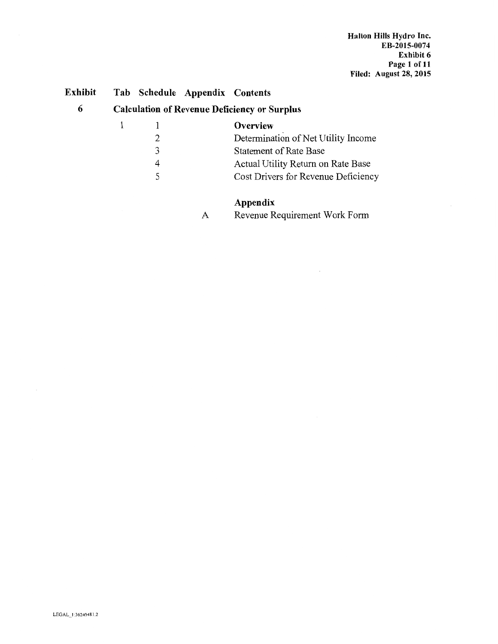### Exhibit Tab Schedule Appendix Contents

### 6 Calculation of Revenue Deficiency or Surplus

|   | Overview                            |
|---|-------------------------------------|
|   | Determination of Net Utility Income |
| 3 | <b>Statement of Rate Base</b>       |
|   | Actual Utility Return on Rate Base  |
|   | Cost Drivers for Revenue Deficiency |
|   |                                     |

## Appendix

A Revenue Requirement Work Form

 $\overline{\phantom{a}}$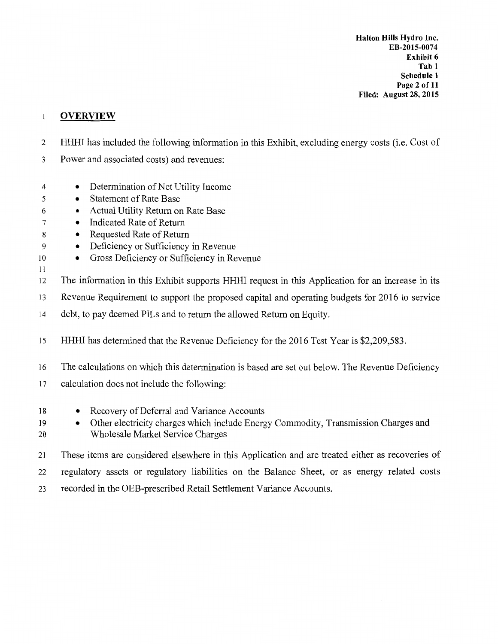Halton Hills Hydro Inc. Exhibit 6 Tab 1 Schedule 1 Page 2 of 11 Filed: August 28, 2015 **EB-2015-0074**

#### $\mathbf{1}$ **OVERVIEW**

- <sup>2</sup>HHHI has included the following information in this Exhibit, excluding energy costs (i.e. Cost of
- 3 Power and associated costs) and revenues:
- 4 Determination of Net Utility Income
- 5 Statement of Rate Base
- 6 Actual Utility Return on Rate Base
- 7 Indicated Rate of Return
- 8 Requested Rate of Return
- 9 Deficiency or Sufficiency in Revenue
- Io Gross Deficiency or Sufficiency in Revenue
- 11

12 The information in this Exhibit supports HHHI request in this Application for an increase in its

- 13 Revenue Requirement to support the proposed capital and operating budgets for 2016 to service
- 14 debt, to pay deemed PILs and to return the allowed Return on Equity.
- 15 HHHI has determined that the Revenue Deficiency for the 2016 Test Year is \$2,209,583.
- 16 The calculations on which this determination is based are set out below. The Revenue Deficiency
- 17 calculation does not include the following:
- 18 Recovery of Deferral and Variance Accounts
- 19 Other electricity charges which include Energy Commodity, Transmission Charges and 20 Wholesale Market Service Charges
- 21 These items are considered elsewhere in this Application and are treated either as recoveries of
- 22 regulatory assets or regulatory liabilities on the Balance Sheet, or as energy related costs
- 23 recorded in the OEB-prescribed Retail Settlement Variance Accounts.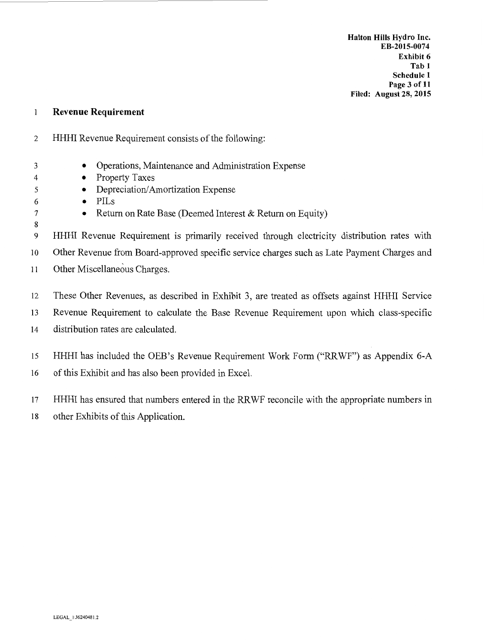#### Revenue Requirement  $\mathbf{1}$

- 2 HHHI Revenue Requirement consists of the following:
	- Operations, Maintenance and Administration Expense
		- Property Taxes
			- Depreciation/Amortization Expense
			- PILs

- Return on Rate Base (Deemed Interest & Return on Equity)
- 9 HHHI Revenue Requirement is primarily received through electricity distribution rates with

10 Other Revenue from Board-approved specific service charges such as Late Payment Charges and

- 11 Other Miscellaneous Charges.
- 12 These Other Revenues, as described in Exhibit 3, are treated as offsets against HHHI Service
- 13 Revenue Requirement to calculate the Base Revenue Requirement upon which class-specific 14 distribution rates are calculated.
- 15 HHHI has included the OEB's Revenue Requirement Work Form ("RRWF") as Appendix 6-A
- 16 of this Exhibit and has also been provided in Excel.

17 HHHI has ensured that numbers entered in the RR WF reconcile with the appropriate numbers in

18 other Exhibits of this Application.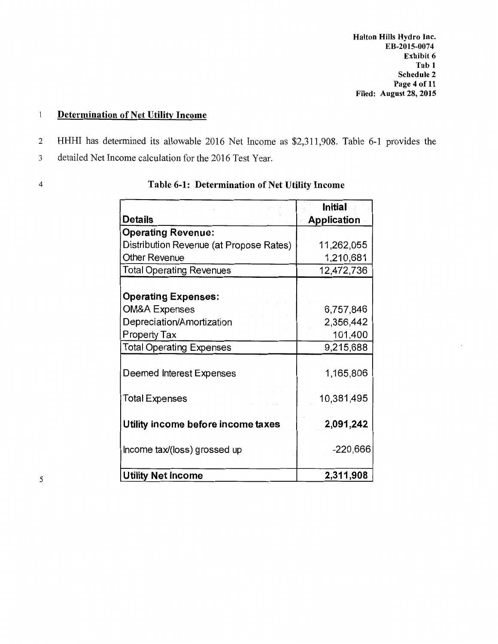Halton Hills Hydro Inc. Exhibit 6 Tab **1**  Schedule 2 Page 4 of 11 Filed: August 28, 2015 **EB-2015-0074**

### Determination of Net Utility Income  $\,1$

- 2 HHHI has determined its allowable 2016 Net Income as \$2,311,908. Table 6-1 provides the
- 3 detailed Net Income calculation for the 2016 Test Year.

| <b>Details</b>                          | Initial<br><b>Application</b> |
|-----------------------------------------|-------------------------------|
| <b>Operating Revenue:</b>               |                               |
| Distribution Revenue (at Propose Rates) | 11,262,055                    |
| <b>Other Revenue</b>                    | 1,210,681                     |
| <b>Total Operating Revenues</b>         | 12,472,736                    |
| <b>Operating Expenses:</b>              |                               |
| <b>OM&amp;A Expenses</b>                | 6,757,846                     |
| Depreciation/Amortization               | 2,356,442                     |
| <b>Property Tax</b>                     | 101,400                       |
| <b>Total Operating Expenses</b>         | 9,215,688                     |
| Deemed Interest Expenses                | 1,165,806                     |
| <b>Total Expenses</b>                   | 10,381,495                    |
| Utility income before income taxes      | 2,091,242                     |
| Income tax/(loss) grossed up            | $-220,666$                    |
| <b>Utility Net Income</b>               | 2,311,908                     |

## 4 Table 6-1: Determination of Net Utility Income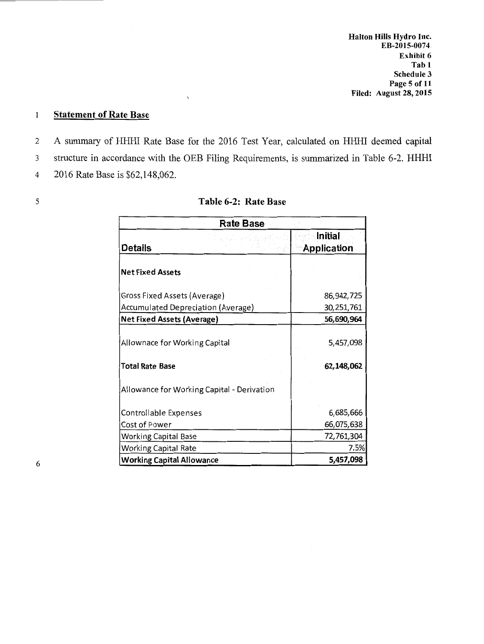### Statement of Rate Base  $\mathbf{1}$

2 A summary of HHHI Rate Base for the 2016 Test Year, calculated on HHHI deemed capital

3 structure in accordance with the OEB Filing Requirements, is summarized in Table 6-2. HHHI

4 2016 Rate Base is \$62,148,062.

|  |   | ٠  |
|--|---|----|
|  |   |    |
|  | ٠ |    |
|  |   |    |
|  |   | ۰, |

## 5 Table 6-2: Rate Base

|                                   | <b>Rate Base</b>                           |                                      |
|-----------------------------------|--------------------------------------------|--------------------------------------|
| <b>Details</b>                    |                                            | <b>Initial</b><br><b>Application</b> |
| <b>Net Fixed Assets</b>           |                                            |                                      |
| Gross Fixed Assets (Average)      |                                            | 86,942,725                           |
|                                   | Accumulated Depreciation (Average)         | 30,251,761                           |
| <b>Net Fixed Assets (Average)</b> |                                            | 56,690,964                           |
| Allownace for Working Capital     |                                            | 5,457,098                            |
| <b>Total Rate Base</b>            | Allowance for Working Capital - Derivation | 62,148,062                           |
| Controllable Expenses             |                                            | 6,685,666                            |
| Cost of Power                     |                                            | 66,075,638                           |
| <b>Working Capital Base</b>       |                                            | 72,761,304                           |
| <b>Working Capital Rate</b>       |                                            | 7.5%                                 |
| <b>Working Capital Allowance</b>  |                                            | 5,457,098                            |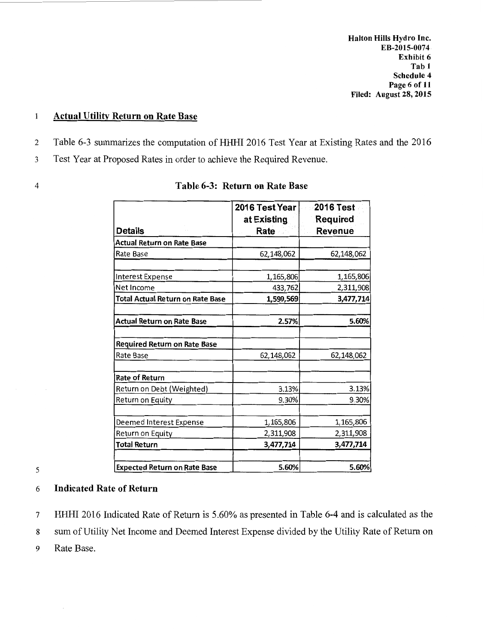Halton Hills Hydro Inc. Exhibit 6 Tab 1 Schedule 4 Page 6 of 11 Filed: August 28, 2015 **EB-2015-0074**

### Actual Utility Return on Rate Base  $\mathbf{1}$

- 2 Table 6-3 summarizes the computation of HHHI 2016 Test Year at Existing Rates and the 2016
- 3 Test Year at Proposed Rates in order to achieve the Required Revenue.
- 

| Details                                  | 2016 Test Year<br>at Existing<br>Rate | <b>2016 Test</b><br><b>Required</b><br>Revenue |
|------------------------------------------|---------------------------------------|------------------------------------------------|
| Actual Return on Rate Base               |                                       |                                                |
| Rate Base                                | 62,148,062                            | 62,148,062                                     |
| Interest Expense                         | 1,165,806                             | 1,165,806                                      |
| Net Income                               | 433,762                               | 2,311,908                                      |
| Total Actual Return on Rate Base         | 1,599,569                             | 3,477,714                                      |
| <b>Actual Return on Rate Base</b>        | 2.57%                                 | 5.60%                                          |
| Required Return on Rate Base             |                                       |                                                |
| Rate Base                                | 62,148,062                            | 62,148,062                                     |
| <b>Rate of Return</b>                    |                                       |                                                |
| Return on Debt (Weighted)                | 3.13%                                 | 3.13%                                          |
| Return on Equity                         | 9.30%                                 | 9.30%                                          |
| Deemed Interest Expense                  | 1,165,806                             | 1,165,806                                      |
| Return on Equity                         | 2,311,908                             | 2,311,908                                      |
| <b>Total Return</b>                      | 3,477,714                             | 3,477,714                                      |
| <b>Expected Return on Rate Base</b><br>5 | 5.60%                                 | 5.60%                                          |

## 4 Table 6-3: Return on Rate Base

## 6 Indicated Rate of Return

7 HHHI 2016 Indicated Rate of Return is 5.60% as presented in Table 6-4 and is calculated as the 8 sum of Utility Net Income and Deemed Interest Expense divided by the Utility Rate of Return on 9 Rate Base.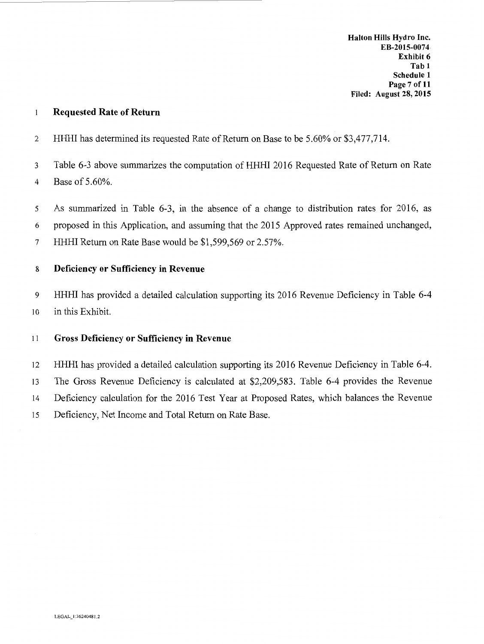#### Requested Rate of Return  $\mathbf{1}$

2 HHHI has determined its requested Rate of Return on Base to be 5.60% or \$3,477,714.

3 Table 6-3 above summarizes the computation of HHHI 2016 Requested Rate of Return on Rate 4 Base of 5 .60%.

5 As summarized in Table 6-3, in the absence of a change to distribution rates for 2016, as 6 proposed in this Application, and assuming that the 2015 Approved rates remained unchanged, 7 HHHI Return on Rate Base would be \$1,599,569 or 2.57%.

## 8 Deficiency or Sufficiency in Revenue

9 HHHI has provided a detailed calculation supporting its 2016 Revenue Deficiency in Table 6-4 10 in this Exhibit.

## 11 Gross Deficiency or Sufficiency in Revenue

12 HHHI has provided a detailed calculation supporting its 2016 Revenue Deficiency in Table 6-4. 13 The Gross Revenue Deficiency is calculated at \$2,209,583. Table 6-4 provides the Revenue 14 Deficiency calculation for the 2016 Test Year at Proposed Rates, which balances the Revenue 15 Deficiency, Net Income and Total Return on Rate Base.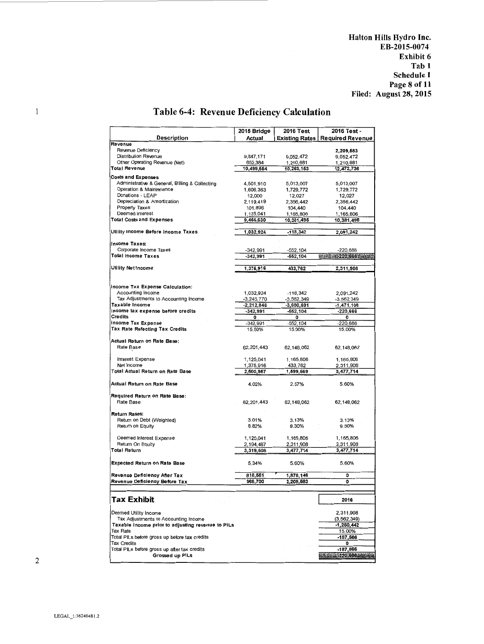Halton Hills Hydro Inc. Exhibit 6 Tab 1 Schedule l Page 8of11 Filed: August 28, 2015 **EB-2015-0074**

## Table 6-4: Revenue Deficiency Calculation

|                                                                    | 2015 Bridge            | 2016 Test              | 2016 Test -             |
|--------------------------------------------------------------------|------------------------|------------------------|-------------------------|
| <b>Description</b>                                                 | Actual                 | Existing Rates         | <b>Required Revenue</b> |
| Revenue                                                            |                        |                        |                         |
| Revenue Deficiency                                                 |                        |                        | 2,209,583               |
| Distribution Revenue                                               | 9,847,171              | 9,052,472              | 9,052,472               |
| Other Operating Revenue (Net)                                      | 652,384                | 1,210,681              | 1,210,681               |
| Total Revenue                                                      | 10,499,554             | 10,263,153             | 12,472,736              |
| <b>Costs and Expenses</b>                                          |                        |                        |                         |
| Administrative & General, Billing & Collecting                     | 4,501,910              | 5,013,007              | 5,013,007               |
| Operation & Maintenance                                            | 1,606,363              | 1,729,772              | 1,729,772               |
| Donations - LEAP                                                   | 12,000                 | 12,027                 | 12,027                  |
| Depreciation & Amortization                                        | 2,119,419              | 2,356,442              | 2,356,442               |
| Property Taxes                                                     | 101,896                | 104,440                | 104,440                 |
| Deemed Interest                                                    | 1,125,041              | 1,165,806              | 1,165,806               |
| <b>Total Costs and Expenses</b>                                    | 9,466,630              | 10,381,495             | 10,381,495              |
| Utility Income Before Income Taxes                                 | 1,032,924              | $-118,342$             | 2,091,242               |
|                                                                    |                        |                        |                         |
| Income Taxes:                                                      |                        |                        |                         |
| Corporate Income Taxes<br>Total Income Taxes                       | $-342,991$             | $-552,104$             | $-220,666$              |
|                                                                    | $-342,991$             | $-552,104$             | <b>Market 220,666</b>   |
| Utility Net Income                                                 | 1,376,916              | 433,762                | 2,311,908               |
|                                                                    |                        |                        |                         |
| Income Tax Expense Calculation:                                    |                        |                        |                         |
| Accounting Income                                                  | 1,032,924              | $-118,342$             | 2,091,242               |
| Tax Adjustments to Accounting Income                               | $-3,245,770$           | $-3,562,349$           | $-3,562,349$            |
| Taxable Income                                                     | $-2,212.846$           | $-3,680,691$           | -1,471,108              |
| Income tax expense before credits                                  | $-342,991$             | $-652, 104$            | $-220,666$              |
| <b>Credits</b>                                                     | ٥                      | ٥                      | o                       |
| Income Tax Expense                                                 | $-342,991$             | $-552, 104$            | $-220,666$              |
| Tax Rate Refecting Tax Credits                                     | 15.50%                 | 15.00%                 | 15.00%                  |
| Actual Return on Rate Base:<br>Rate Base                           | 62,201,443             | 62,148,062             | 62,148,062              |
| Interest Expense                                                   | 1,125,041              | 1,165,806              | 1,165,806               |
| Net Income                                                         | 1,375,916              | 433,762                | 2,311,908               |
| Total Actual Return on Rate Base                                   | 2,500,957              | 1,599,569              | 3,477,714               |
| Actual Return on Rate Base                                         | 4.02%                  | 2.57%                  | 5.60%                   |
| Required Return on Rate Base:<br>Rate Base                         | 62,201,443             | 62,148,062             | 62,148,062              |
| Return Rates:                                                      |                        |                        |                         |
| Retum on Debt (Weighted)                                           | 3.01%                  | 3.13%                  | 3.13%                   |
| Retum on Equity                                                    | 8.82%                  | 9.30%                  | 9.30%                   |
|                                                                    |                        |                        |                         |
| Deemed Interest Expense<br>Retum On Equity                         | 1,125,041              | 1,165,806              | 1.165,806               |
| <b>Total Return</b>                                                | 2,194,467<br>3,319,508 | 2,311,908<br>3,477,714 | 2,311,908<br>3,477,714  |
|                                                                    |                        |                        |                         |
| <b>Expected Return on Rate Base</b>                                | 5.34%                  | 5.60%                  | 5.60%                   |
| Revenue Deficiency After Tax                                       | 818,551                | 1,878,146              | 0                       |
| Revenue Deficiency Before Tax                                      | 968,700                | 2,209,583              | $\mathbf{o}$            |
|                                                                    |                        |                        |                         |
| Tax Exhibit<br>经营货物                                                |                        |                        | 2016                    |
| Deemed Utility Income                                              |                        |                        | 2,311,908               |
| Tax Adjustments to Accounting Income                               |                        |                        | (3, 562, 349)           |
| Taxable Income prior to adjusting revenue to PILs                  |                        |                        | $-1,260,442$            |
| <b>Tax Rate</b>                                                    |                        |                        | 15.00%                  |
| Total PILs before gross up before tax credits                      |                        |                        | $-187,566$              |
| <b>Tax Credits</b><br>Total PILs before gross up after tax credits |                        |                        | ۰<br>-187,566           |
|                                                                    |                        |                        |                         |
| Grossed up PILs                                                    |                        |                        | $-220,666$              |

 $\mathbf{1}$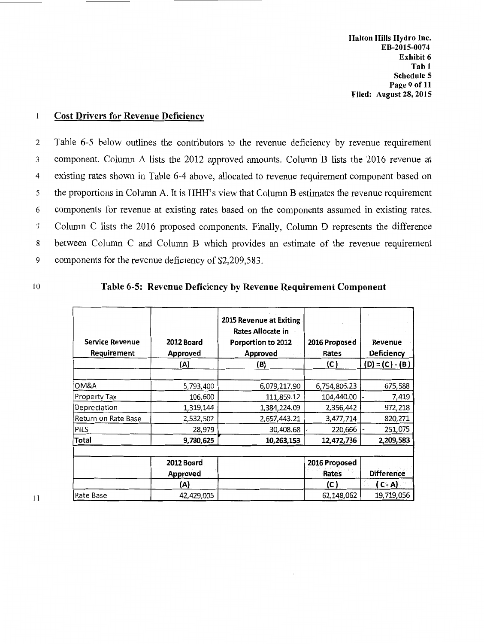Halton Hills Hydro Inc. Exhibit 6 Tab 1 Schedule 5 Page 9 of 11 Filed: August 28, 2015 **EB-2015-0074**

#### $\mathbf{1}$ Cost Drivers for Revenue Deficiency

2 Table 6-5 below outlines the contributors to the revenue deficiency by revenue requirement 3 component. Column A lists the 2012 approved amounts. Column B lists the 2016 revenue at 4 existing rates shown in Table 6-4 above, allocated to revenue requirement component based on 5 the proportions in Column A. It is HHH's view that Column B estimates the revenue requirement 6 components for revenue at existing rates based on the components assumed in existing rates. 7 Column C lists the 2016 proposed components. Finally, Column D represents the difference 8 between Column C and Column B which provides an estimate of the revenue requirement 9 components for the revenue deficiency of \$2,209,583.

## 10 Table 6-5: Revenue Deficiency by Revenue Requirement Component

| <b>Service Revenue</b><br>Requirement | 2012 Board<br>Approved | 2015 Revenue at Exiting<br>Rates Allocate in<br>Porportion to 2012<br>Approved | 2016 Proposed<br>Rates | Revenue<br>Deficiency |
|---------------------------------------|------------------------|--------------------------------------------------------------------------------|------------------------|-----------------------|
|                                       | (A)                    | (B)                                                                            | (C)                    | $(D) = (C) - (B)$     |
| OM&A                                  | 5,793,400              | 6,079,217.90                                                                   | 6,754,806.23           | 675,588               |
| Property Tax                          | 106,600                | 111,859.12                                                                     | 104,440.00             | 7,419                 |
| Depreciation                          | 1,319,144              | 1,384,224.09                                                                   | 2,356,442              | 972,218               |
| Return on Rate Base                   | 2,532,502              | 2,657,443.21                                                                   | 3,477,714              | 820,271               |
| <b>PILS</b>                           | 28,979                 | 30,408.68                                                                      | 220,666                | 251,075               |
| <b>Total</b>                          | 9,780,625              | 10,263,153                                                                     | 12,472,736             | 2,209,583             |
|                                       |                        |                                                                                |                        |                       |
|                                       | 2012 Board             |                                                                                | 2016 Proposed          |                       |
|                                       | <b>Approved</b>        |                                                                                | Rates                  | <b>Difference</b>     |
|                                       | (A)                    |                                                                                | (C)                    | ( C - A)              |
| Rate Base                             | 42,429,005             |                                                                                | 62,148,062             | 19,719,056            |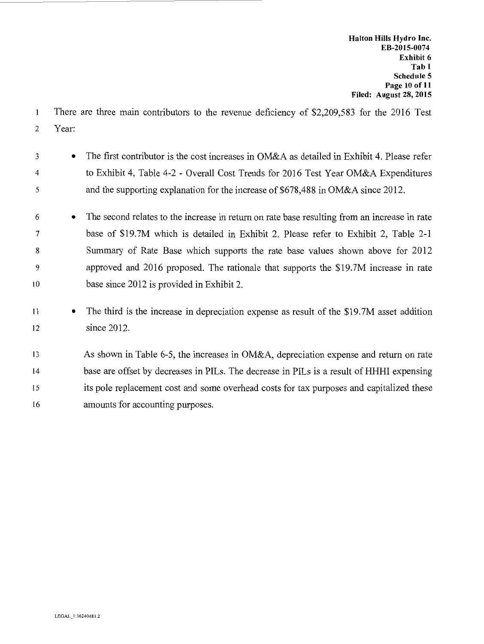- $\mathbf{1}$ There are three main contributors to the revenue deficiency of \$2,209,583 for the 2016 Test 2 Year:
- 3 The first contributor is the cost increases in OM&A as detailed in Exhibit 4. Please refer 4 5 to Exhibit 4, Table 4-2 - Overall Cost Trends for 2016 Test Year OM&A Expenditures and the supporting explanation for the increase of \$678,488 in OM&A since 2012.
- 6 The second relates to the increase in return on rate base resulting from an increase in rate 7 base of \$19.7M which is detailed in Exhibit 2. Please refer to Exhibit 2, Table 2-1 8 9 10 Summary of Rate Base which supports the rate base values shown above for 2012 approved and 2016 proposed. The rationale that supports the \$19. 7M increase in rate base since 2012 is provided in Exhibit 2.
- 11 The third is the increase in depreciation expense as result of the \$19.7M asset addition 12 since 2012.
- 13 14 15 16 As shown in Table 6-5, the increases in OM&A, depreciation expense and return on rate base are offset by decreases in PILs. The decrease in PILs is a result of HHHI expensing its pole replacement cost and some overhead costs for tax purposes and capitalized these amounts for accounting purposes.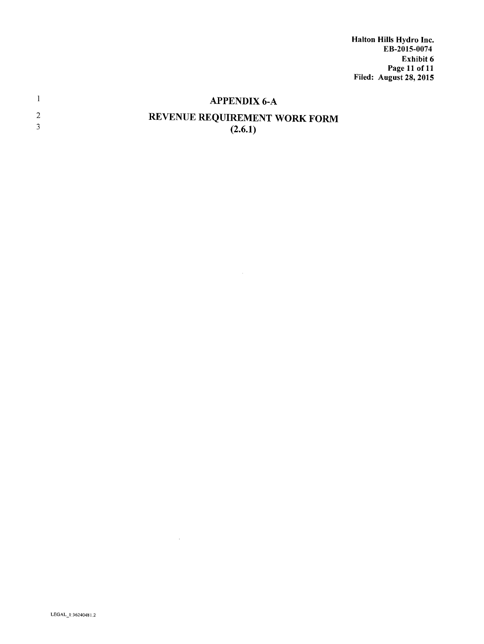Halton Hills Hydro Inc. Exhibit 6 Page 11of11 Filed: August 28, 2015 **EB-2015-0074**

|   | <b>APPENDIX 6-A</b>                             |
|---|-------------------------------------------------|
| 2 | <b>REVENUE REQUIREMENT WORK FORM</b><br>(2.6.1) |

 $\sim 10^7$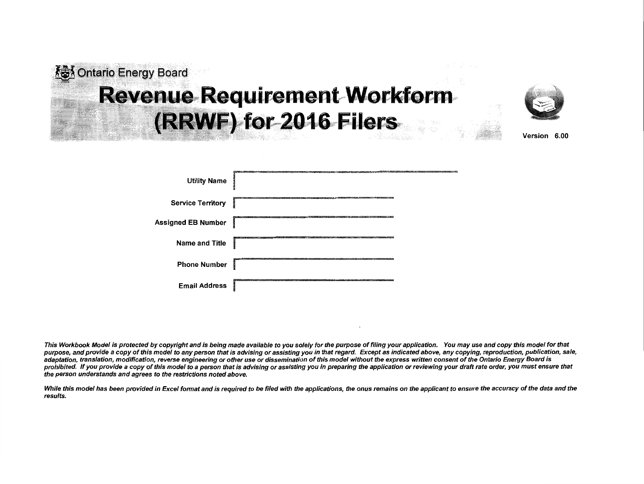# **KEY** Ontario Energy Board **Revenue Requirement Workform F) for 2016 Filers**



Version 6.00

| <b>Utility Name</b>       |                                            |
|---------------------------|--------------------------------------------|
| <b>Service Territory</b>  |                                            |
| <b>Assigned EB Number</b> |                                            |
| <b>Name and Title</b>     |                                            |
| <b>Phone Number</b>       |                                            |
| <b>Email Address</b>      | <b>B.K. MACCORET ARM HOURS ENDING: THE</b> |

This Workbook Model is protected by copyright and is being made available to you solely for the purpose of filing your application. You may use and copy this model for that purpose, and provide a copy of this model to any person that is advising or assisting you in that regard. Except as indicated above, any copying, reproduction, publication, sale, adaptation, translation, modification, reverse engineering or other use or dissemination of this model without the express written consent of the Ontario Energy Board is prohibited. If you provide a copy of this model to a person that is advising or assisting you in preparing the application or reviewing your draft rate order, you must ensure that the person understands and agrees to the restrictions noted above.

While this model has been provided in Excel format and is required to be filed with the applications, the onus remains on the applicant to ensure the accuracy of the data and the results.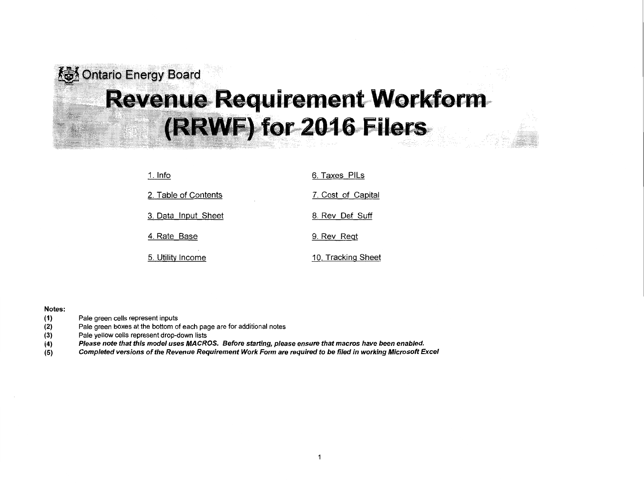# ontario Energy Board 13). • **Revenue Requirement Workform** (RRWF) for 2016 Filers

| 1. Info              | 6. Taxes PILs      |
|----------------------|--------------------|
| 2. Table of Contents | 7. Cost of Capital |
| 3. Data Input Sheet  | 8. Rev Def Suff    |
| 4. Rate Base         | 9. Rev Regt        |
| 5. Utility Income    | 10. Tracking Sheet |

### Notes:

- (1) Pale green cells represent inputs
- (2) Pale green boxes at the bottom of each page are for additional notes
- (3) Pale yellow cells represent drop-down lists
- (4) Please note that this model uses MACROS. Before starting, please ensure that macros have been enabled.
- (5) Completed versions of the Revenue Requirement Work Form are required to be filed in working Microsoft Excel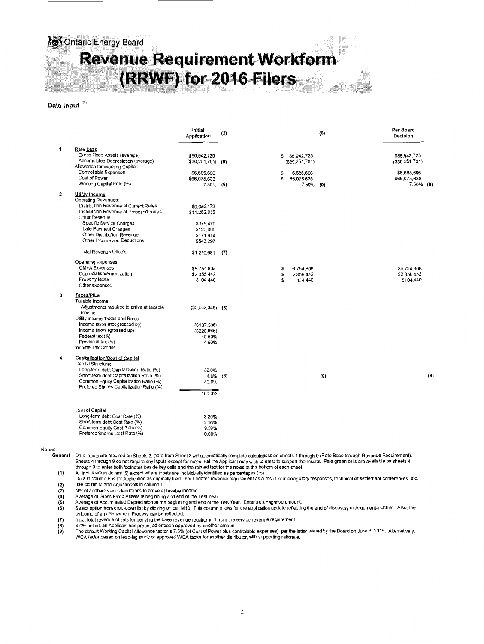## **检** Ontario Energy Board **Revenue Requirement Workform (RRWF) for 2016 Filers** is:

### Data Input <sup>(1)</sup>

|   |                                                                                                      | Initial<br>Application                   | (2) |                                    | (6) | Per Board<br><b>Decision</b>     |     |
|---|------------------------------------------------------------------------------------------------------|------------------------------------------|-----|------------------------------------|-----|----------------------------------|-----|
| 1 | <b>Rate Base</b>                                                                                     |                                          |     |                                    |     |                                  |     |
|   | Gross Fixed Assets (average)<br>Accumulated Depreciation (average)<br>Allowance for Working Capital: | \$86,942,725<br>$($ \$30,251,761) $($ 5) |     | 86,942,725<br>S<br>(S30.251.761)   |     | \$86.942.725<br>( \$30.251, 761) |     |
|   | Controllable Expenses<br>Cost of Power                                                               | \$6,685,666<br>\$66,075,638              |     | S<br>6,685,666<br>\$<br>66,075,638 |     | \$6,685,666<br>\$66,075,638      |     |
|   | Working Capital Rate (%)                                                                             | 7.50% (9)                                |     | $7.50\%$ (9)                       |     | 7,50% (9)                        |     |
| 2 | <b>Utility Income</b><br>Operating Revenues:                                                         |                                          |     |                                    |     |                                  |     |
|   | Distribution Revenue at Current Rates                                                                | \$9,052,472                              |     |                                    |     |                                  |     |
|   | Distribution Revenue at Proposed Rates<br>Other Revenue:                                             | \$11,262,055                             |     |                                    |     |                                  |     |
|   | Specific Service Charges                                                                             | \$375,470                                |     |                                    |     |                                  |     |
|   | Late Payment Charges                                                                                 | \$120,000                                |     |                                    |     |                                  |     |
|   | Other Distribution Revenue                                                                           | \$171,914                                |     |                                    |     |                                  |     |
|   | Other Income and Deductions                                                                          | \$543,297                                |     |                                    |     |                                  |     |
|   | <b>Total Revenue Offsets</b>                                                                         | \$1,210,681                              | (7) |                                    |     |                                  |     |
|   | Operating Expenses:                                                                                  |                                          |     |                                    |     |                                  |     |
|   | OM+A Expenses                                                                                        | \$6,754,806                              |     | 6,754,806<br>\$                    |     | \$6,754,806                      |     |
|   | Depreciation/Amortization                                                                            | \$2,356,442                              |     | s<br>2.356,442                     |     | \$2,356,442                      |     |
|   | Property taxes<br>Other expenses                                                                     | \$104,440                                |     | s<br>104,440                       |     | \$104,440                        |     |
| 3 | <b>Taxes/PILs</b>                                                                                    |                                          |     |                                    |     |                                  |     |
|   | Taxable Income:                                                                                      |                                          |     |                                    |     |                                  |     |
|   | Adjustments required to arrive at taxable<br>income                                                  | $( $3,562,349)$ (3)                      |     |                                    |     |                                  |     |
|   | Utility Income Taxes and Rates:<br>Income taxes (not grossed up)                                     |                                          |     |                                    |     |                                  |     |
|   | Income taxes (grossed up)                                                                            | (\$187,566)<br>( \$220, 666)             |     |                                    |     |                                  |     |
|   | Federal tax (%)                                                                                      | 10.50%                                   |     |                                    |     |                                  |     |
|   | Provincial tax (%)                                                                                   | 4.50%                                    |     |                                    |     |                                  |     |
|   | Income Tax Credits                                                                                   |                                          |     |                                    |     |                                  |     |
| 4 | Capitalization/Cost of Capital<br>Capital Structure:                                                 |                                          |     |                                    |     |                                  |     |
|   | Long-term debt Capitalization Ratio (%)                                                              | 56.0%                                    |     |                                    |     |                                  |     |
|   | Short-term debt Capitalization Ratio (%)                                                             | $4.0\%$ (8)                              |     |                                    | (8) |                                  | (8) |
|   | Common Equity Capitalization Ratio (%)                                                               | 40.0%                                    |     |                                    |     |                                  |     |
|   | Prefered Shares Capitalization Ratio (%)                                                             | 100.0%                                   |     |                                    |     |                                  |     |
|   |                                                                                                      |                                          |     |                                    |     |                                  |     |
|   | Cost of Capital                                                                                      |                                          |     |                                    |     |                                  |     |
|   | Long-term debt Cost Rate (%)                                                                         | 3.20%                                    |     |                                    |     |                                  |     |
|   | Short-term debt Cost Rate (%)                                                                        | 2.16%                                    |     |                                    |     |                                  |     |
|   | Common Equity Cost Rate (%)                                                                          | 9.30%                                    |     |                                    |     |                                  |     |
|   | Prefered Shares Cost Rate (%)                                                                        | 0.00%                                    |     |                                    |     |                                  |     |

Notes:<br>General

Data inputs are required on Sheets 3. Data from Sheet 3 will automatically complete calculations on sheets 4 through 9 (Rate Base through Revenue Requirement). Sheets 4 through 9 do not require any inputs except for notes that the Applicant may wish to enter to support the results. Pale green cells are available on sheets 4<br>through 9 to enter both footnotes beside key cells and

(1) All inputs are in dollars (\$) except where inputs are individually identified as percentages (%)

Data in column E is for Application as originally filed. For updated revenue requirement as a result of interrogatory responses, technical or settlement conferences, etc., (2) use colimn M and Adjustments in column I<br>
(3) Net of addbacks and deductions to arrive a<br>
(4) Average of Gross Fixed Assets at beginning<br>
(5) Average of Accumulated Depreciation at the

(3) Net of addbacks and deductions to arrive at taxable income.

(4) Average of Gross Fixed Assets at beginning and end of the Test Year

(5) Average of Accumulated Depreciation at the beginning and end of the Test Year. Enter as a negative amount.

**(6)** Select option from drop-down list by clicking on cell M10. This column allows for the application update reflecting the end of discovery or Argument-in-Chief. Also, the<br>outcome of any Settlement Process can be reflec

(7) Input total revenue offsets for deriving the base revenue requirement from the service revenue requirement<br>
(8) 4.0% unless an Applicant has proposed or been approved for another amount.<br>
(9) The default Working Capita

(8) 4.0% unless an Applicant has proposed or been approved for another amount.<br>(9) The default Working Capital Allowance factor is 7.5% (of Cost of Power plus controllable expenses), per the letter issued by the Board on J WCA factor based on lead-lag study or approved WCA factor for another distributor, with supporting rationale.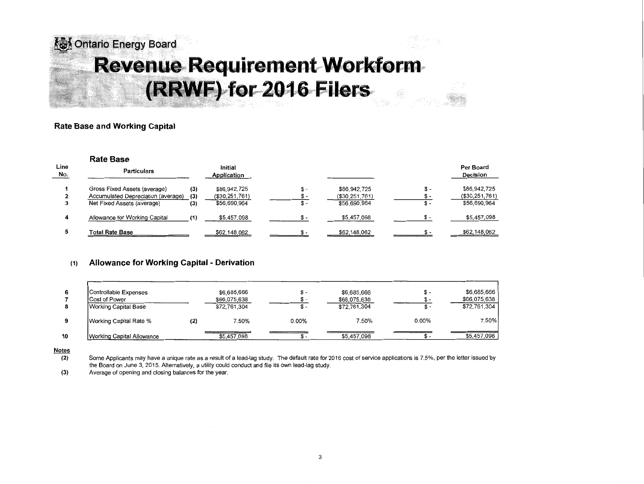## *l***ohtario Energy Board Qrtt0..0** . '. **Revenue Requirement Workform (RRWF) for 2016 Filers.**

## **Rate Base and Working Capital**

|             | <b>Rate Base</b>                   |     |                        |       |                |       |                       |
|-------------|------------------------------------|-----|------------------------|-------|----------------|-------|-----------------------|
| Line<br>No. | <b>Particulars</b>                 |     | Initial<br>Application |       |                |       | Per Board<br>Decision |
|             | Gross Fixed Assets (average)       | (3) | \$86,942,725           | $S -$ | \$86,942,725   | $S -$ | \$86,942,725          |
|             | Accumulated Depreciation (average) | (3) | (\$30,251,761)         |       | (\$30,251,761) |       | ( \$30, 251, 761)     |
|             | Net Fixed Assets (average)         | (3) | \$56,690,964           | \$ -  | \$56,690,964   | \$-   | \$56,690,964          |
|             | Allowance for Working Capital      |     | \$5,457,098            | \$ -  | \$5,457,098    |       | \$5,457,098           |
|             | <b>Total Rate Base</b>             |     | \$62,148,062           |       | \$62,148,062   |       | \$62,148,062          |

## **(1) Allowance for Working Capital - Derivation**

| 6  | Controllable Expenses<br><b>Cost of Power</b><br>Working Capital Base |     | \$6,685,666<br>\$66,075,638<br>\$72,761,304 | – ה      | \$6,685,666<br>\$66,075,638<br>\$72,761,304 | \$-<br>ж.<br>১ − | \$6,685,666<br>\$66,075,638<br>\$72,761,304 |
|----|-----------------------------------------------------------------------|-----|---------------------------------------------|----------|---------------------------------------------|------------------|---------------------------------------------|
| 9  | Working Capital Rate %                                                | (2) | 7.50%                                       | $0.00\%$ | 7.50%                                       | $0.00\%$         | 7.50%                                       |
| 10 | Working Capital Allowance                                             |     | \$5,457,098                                 |          | \$5,457,098                                 |                  | \$5,457,098                                 |

### **Notes**

**(2)** Some Applicants may have a unique rate as a result of a lead-lag study. The default rate for 2016 cost of service applications is 7.5%, per the letter issued by the Board on June 3, 2015. Alternatively, a utility could conduct and file its own lead-lag study.

**(3)** Average of opening and closing balances for the year.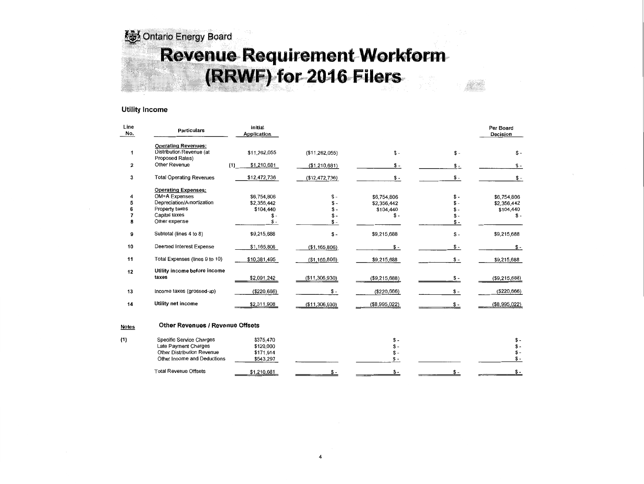Energy Board Revenue Requirement Workform (RRWF) for 2016 Filers

### Utility Income

| Line<br>No.             | <b>Particulars</b>                                                                                                           | Initial<br>Application                                  |                                           |                                                  |                      | Per Board<br>Decision                           |
|-------------------------|------------------------------------------------------------------------------------------------------------------------------|---------------------------------------------------------|-------------------------------------------|--------------------------------------------------|----------------------|-------------------------------------------------|
| 1                       | <b>Operating Revenues:</b><br>Distribution Revenue (at<br>Proposed Rates)                                                    | \$11,262,055                                            | (\$11,262,055)                            | $$ -$                                            | $S -$                | $S -$                                           |
| $\overline{\mathbf{2}}$ | Other Revenue                                                                                                                | (1)<br>\$1,210,681                                      | (\$1,210,681)                             | $S -$                                            | $S -$                | $S -$                                           |
| 3                       | <b>Total Operating Revenues</b>                                                                                              | \$12,472,736                                            | (\$12,472,736)                            | $$ -$                                            | $$ -$                | \$ -                                            |
| 4<br>5<br>6<br>7<br>8   | <b>Operating Expenses:</b><br>OM+A Expenses<br>Depreciation/Amortization<br>Property taxes<br>Capital taxes<br>Other expense | \$6,754,806<br>\$2,356,442<br>\$104,440<br>\$-<br>$S -$ | $S -$<br>$S -$<br>$S -$<br>$$ -$<br>$S -$ | \$6,754,806<br>\$2,356,442<br>\$104,440<br>$$ -$ | \$-<br>\$ –<br>$s -$ | \$6,754,806<br>\$2,356,442<br>\$104,440<br>\$ - |
| 9                       | Subtotal (lines 4 to 8)                                                                                                      | \$9,215,688                                             | $$ -$                                     | \$9,215,688                                      | $S -$                | \$9,215,688                                     |
| 10                      | Deemed Interest Expense                                                                                                      | \$1,165,806                                             | (\$1,165,806)                             | $$ -$                                            | $$ -$                | \$ -                                            |
| 11                      | Total Expenses (lines 9 to 10)                                                                                               | \$10,381,495                                            | (\$1,165,806)                             | \$9,215,688                                      | $S -$                | \$9,215,688                                     |
| 12                      | Utility income before income<br>taxes                                                                                        | \$2,091,242                                             | (\$11,306,930)                            | ( \$9, 215, 688)                                 | $S -$                | (\$9,215,688)                                   |
| 13                      | Income taxes (grossed-up)                                                                                                    | (\$220,666)                                             | $$ -$                                     | (\$220,666)                                      | $S -$                | ( \$220, 666)                                   |
| 14                      | Utility net income                                                                                                           | \$2,311,908                                             | ( \$11,306,930)                           | (\$8,995,022)                                    |                      | (\$8,995,022)                                   |
| <b>Notes</b>            | <b>Other Revenues / Revenue Offsets</b>                                                                                      |                                                         |                                           |                                                  |                      |                                                 |
| (1)                     | Specific Service Charges                                                                                                     | \$375,470                                               |                                           | $$ -$                                            |                      | $$ -$                                           |

| Late Payment Charges         | \$120,000   |  |  |
|------------------------------|-------------|--|--|
| Other Distribution Revenue   | \$171.914   |  |  |
| Other Income and Deductions  | \$543.297   |  |  |
|                              |             |  |  |
| <b>Total Revenue Offsets</b> | \$1,210,681 |  |  |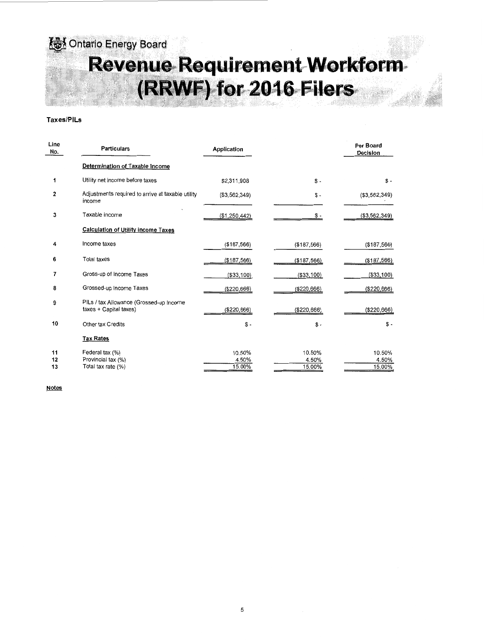~ **Ont1rlo EnerQy Board**  Revenue Requirement Workform. **(RRWF) for 2016 Filers** 

## Taxes/PILs

| Line<br>No.    | <b>Particulars</b>                                                | Application               |                           | Per Board<br>Decision     |
|----------------|-------------------------------------------------------------------|---------------------------|---------------------------|---------------------------|
|                | Determination of Taxable Income                                   |                           |                           |                           |
| 1              | Utility net income before taxes                                   | \$2,311,908               | $S -$                     | $S -$                     |
| 2              | Adjustments required to arrive at taxable utility<br>income       | (\$3,562,349)             | $S -$                     | ( \$3,562,349)            |
| 3              | Taxable income                                                    | (\$1,250,442)             | \$ -                      | (\$3,562,349)             |
|                | Calculation of Utility income Taxes                               |                           |                           |                           |
| 4              | Income taxes                                                      | (\$187,566)               | (\$187,566)               | (\$187,566)               |
| 6              | <b>Total taxes</b>                                                | ( \$187, 566)             | (\$187,566)               | (\$187,566)               |
| 7              | Gross-up of Income Taxes                                          | (\$33,100)                | (\$33,100)                | (\$33,100)                |
| 8              | Grossed-up Income Taxes                                           | (\$220,666)               | (\$220,666)               | (\$220,666)               |
| 9              | PILs / tax Allowance (Grossed-up Income<br>taxes + Capital taxes) | (\$220,666)               | (\$220,666)               | (\$220,666)               |
| 10             | Other tax Credits                                                 | $S -$                     | $$ -$                     | $S -$                     |
|                | <b>Tax Rates</b>                                                  |                           |                           |                           |
| 11<br>12<br>13 | Federal tax (%)<br>Provincial tax (%)<br>Total tax rate (%)       | 10.50%<br>4.50%<br>15.00% | 10.50%<br>4.50%<br>15.00% | 10.50%<br>4.50%<br>15.00% |

**Notes**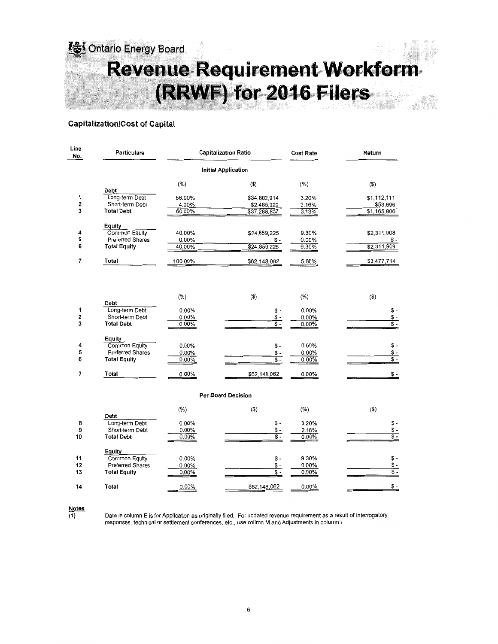

## **Capitalization/Cost of Capital**

| Line<br>No.    | <b>Particulars</b>                                                        |                               | <b>Capitalization Ratio</b>                 | <b>Cost Rate</b>           | Return                                             |  |  |
|----------------|---------------------------------------------------------------------------|-------------------------------|---------------------------------------------|----------------------------|----------------------------------------------------|--|--|
|                |                                                                           |                               | <b>Initial Application</b>                  |                            |                                                    |  |  |
|                | Debt                                                                      | $(\%)$                        | $($ \$)                                     | $(\%)$                     | (3)                                                |  |  |
| 1<br>2<br>3    | Long-term Debt<br>Short-term Debt<br><b>Total Debt</b>                    | 56.00%<br>4.00%<br>60.00%     | \$34,802,914<br>\$2,485,922<br>\$37,288,837 | 3.20%<br>2.16%<br>3.13%    | \$1,112,111<br>\$53,696<br>\$1,165,806             |  |  |
| 4<br>5<br>6    | Equity<br>Common Equity<br>Preferred Shares<br><b>Total Equity</b>        | 40.00%<br>$0.00\%$<br>40.00%  | \$24,859,225<br>\$-<br>\$24,859,225         | 9.30%<br>0.00%<br>9.30%    | \$2,311,908<br>\$ -<br>\$2,311,908                 |  |  |
| 7              | Total                                                                     | 100.00%                       | \$62,148,062                                | 5.60%                      | \$3,477,714                                        |  |  |
|                |                                                                           | (% )                          | $($ \$)                                     | $(\% )$                    | (S)                                                |  |  |
| 1<br>2<br>3    | Debt<br>Long-term Debt<br>Short-term Debt<br><b>Total Debt</b>            | 0.00%<br>0.00%<br>0.00%       | \$-<br>\$ -<br>$\overline{\mathsf{S}}$ -    | 0.00%<br>0.00%<br>0.00%    | \$-<br>\$ -<br>$\overline{\mathsf{s}}$ -           |  |  |
| 4<br>5<br>6    | Equity<br><b>Common Equity</b><br>Preferred Shares<br><b>Total Equity</b> | 0.00%<br>0.00%<br>$0.00\%$    | \$ -<br>\$-<br>$\overline{\mathsf{S}}$ -    | 0.00%<br>$0.00\%$<br>0.00% | \$ -<br>\$ -<br>\$ -                               |  |  |
| 7              | Total                                                                     | $0.00\%$                      | \$62,148,062                                | 0.00%                      | \$-                                                |  |  |
|                |                                                                           |                               | <b>Per Board Decision</b>                   |                            |                                                    |  |  |
|                | Debt                                                                      | $(\%)$                        | $($ \$)                                     | $(\% )$                    | (3)                                                |  |  |
| 8<br>9<br>10   | Long-term Debt<br>Short-term Debt<br><b>Total Debt</b>                    | 0.00%<br>0.00%<br>$0.00\%$    | $$ -$<br>\$ -<br>$\overline{\mathsf{s}}$ -  | 3.20%<br>2.16%<br>0.00%    | \$-<br>\$ -<br>$s -$                               |  |  |
| 11<br>12<br>13 | Equity<br>Common Equity<br><b>Preferred Shares</b><br><b>Total Equity</b> | 0.00%<br>$0.00\%$<br>$0.00\%$ | $S -$<br>\$-<br>$\overline{\$}$ .           | 9.30%<br>0.00%<br>0.00%    | $\mathsf{s}$ -<br>\$-<br>$\overline{\mathsf{s}}$ - |  |  |
| 14             | Total                                                                     | 0.00%                         | \$62,148,062                                | $0.00\%$                   | $$ -$                                              |  |  |

**Notes** 

**(1)** Data in column E is for Application as originally filed. For updated revenue requirement as a result of interrogatory responses, technical or settlement conferences, etc., use colimn M and Adjustments in column I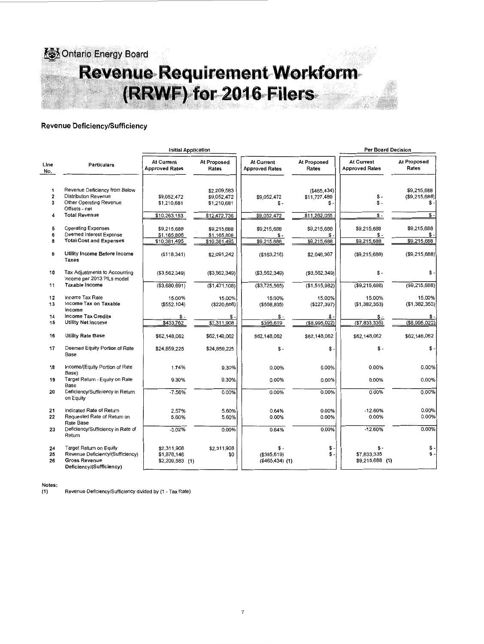

## **Revenue Deficiency/Sufficiency**

|                                   |                                                                                                                 | <b>Initial Application</b>                    |                                            |                                          |                                      |                                       |                                   |  |
|-----------------------------------|-----------------------------------------------------------------------------------------------------------------|-----------------------------------------------|--------------------------------------------|------------------------------------------|--------------------------------------|---------------------------------------|-----------------------------------|--|
| Line<br>No.                       | <b>Particulars</b>                                                                                              | At Current<br><b>Approved Rates</b>           | At Proposed<br>Rates                       | At Current<br><b>Approved Rates</b>      | At Proposed<br>Rates                 | At Current<br><b>Approved Rates</b>   | <b>At Proposed</b><br>Rates       |  |
| 1<br>$\overline{\mathbf{2}}$<br>3 | Revenue Deficiency from Below<br>Distribution Revenue<br>Other Operating Revenue                                | \$9,052,472<br>\$1,210,681                    | \$2,209,583<br>\$9,052,472<br>\$1,210,681  | \$9,052,472<br>\$-                       | ( \$465, 434)<br>\$11,727,489<br>\$. | \$-<br>\$ -                           | \$9,215,688<br>(\$9,215,688)<br>S |  |
| 4                                 | Offsets - net<br><b>Total Revenue</b>                                                                           | \$10,263,153                                  | \$12,472,736                               | \$9,052,472                              | \$11,262,055                         | $$ -$                                 | $S -$                             |  |
| 5<br>6<br>8                       | <b>Operating Expenses</b><br>Deemed Interest Expense<br><b>Total Cost and Expenses</b>                          | \$9,215,688<br>\$1,165,806<br>\$10,381,495    | \$9,215,688<br>\$1,165,806<br>\$10,381,495 | \$9,215,688<br>$S -$<br>\$9,215,688      | \$9,215,688<br>$s -$<br>\$9,215,688  | \$9,215,688<br>\$-<br>\$9,215,688     | \$9,215,688<br>\$-<br>\$9,215,688 |  |
| 9                                 | Utility Income Before Income<br>Taxes                                                                           | (\$118,341)                                   | \$2,091,242                                | (\$163,216)                              | \$2,046,367                          | (\$9,215,688)                         | (\$9,215,688)                     |  |
| 10                                | Tax Adjustments to Accounting<br>Income per 2013 PILs model                                                     | ( \$3,562,349)                                | (\$3,562,349)                              | (\$3,562,349)                            | (\$3,562,349)                        | \$ -                                  | \$ -                              |  |
| 11                                | Taxable Income                                                                                                  | (\$3,680,691)                                 | (\$1,471,108)                              | (\$3,725,565)                            | (\$1,515,982)                        | (\$9,215,688)                         | (\$9,215,688)                     |  |
| 12<br>13                          | Income Tax Rate<br>Income Tax on Taxable<br>Income                                                              | 15.00%<br>(\$552, 104)                        | 15.00%<br>(\$220,666)                      | 15.00%<br>(\$558,835)                    | 15.00%<br>$(\$227,397)$              | 15.00%<br>(\$1,382,353)               | 15.00%<br>(\$1,382,353)           |  |
| 14<br>15                          | <b>Income Tax Credits</b><br><b>Utility Net Income</b>                                                          | \$-<br>\$433,762                              | $$ -$<br>\$2,311,908                       | ֍ -<br>\$395,619                         | \$-<br>(\$8,995,022)                 | \$-<br>(\$7,833,335)                  | \$<br>(\$8,995,022)               |  |
| 16                                | Utility Rate Base                                                                                               | \$62,148,062                                  | \$62,148,062                               | \$62,148,062                             | \$62,148,062                         | \$62,148,062                          | \$62,148,062                      |  |
| 17                                | Deemed Equity Portion of Rate<br>Base                                                                           | \$24,859,225                                  | \$24,859,225                               | $$ -$                                    | \$-                                  | $$ -$                                 | $$ -$                             |  |
| 18                                | Income/(Equity Portion of Rate<br>Base)                                                                         | 1.74%                                         | 9.30%                                      | 0.00%                                    | 0.00%                                | 0.00%                                 | 0.00%                             |  |
| 19                                | Target Return - Equity on Rate<br>Base                                                                          | 9.30%                                         | 9.30%                                      | 0.00%                                    | 0.00%                                | 0.00%                                 | 0.00%                             |  |
| 20                                | Deficiency/Sufficiency in Return<br>on Equity                                                                   | $-7.56%$                                      | 0.00%                                      | 0.00%                                    | 0.00%                                | 0.00%                                 | 0.00%                             |  |
| 21<br>22                          | Indicated Rate of Return<br>Requested Rate of Return on<br>Rate Base                                            | 2.57%<br>5.60%                                | 5.60%<br>5.60%                             | 0.64%<br>0.00%                           | 0.00%<br>0.00%                       | $-12.60%$<br>0.00%                    | 0.00%<br>0.00%                    |  |
| 23                                | Deficiency/Sufficiency in Rate of<br>Return                                                                     | $-3.02%$                                      | 0.00%                                      | 0.64%                                    | 0.00%                                | $-12.60%$                             | 0.00%                             |  |
| 24<br>25<br>26                    | Target Return on Equity<br>Revenue Deficiency/(Sufficiency)<br><b>Gross Revenue</b><br>Deficiency/(Sufficiency) | \$2,311,908<br>\$1,878,146<br>\$2,209,583 (1) | \$2,311,908<br>\$0                         | $$ -$<br>(\$395,619)<br>$($465,434)$ (1) | \$-<br>$\mathsf{\$}$ .               | \$-<br>\$7,833,335<br>\$9,215,688 (1) | \$<br>S.                          |  |

Notes<br>(1)

**(1)** Revenue Deficiency/Sufficiency divided by (1 - Tax Rate)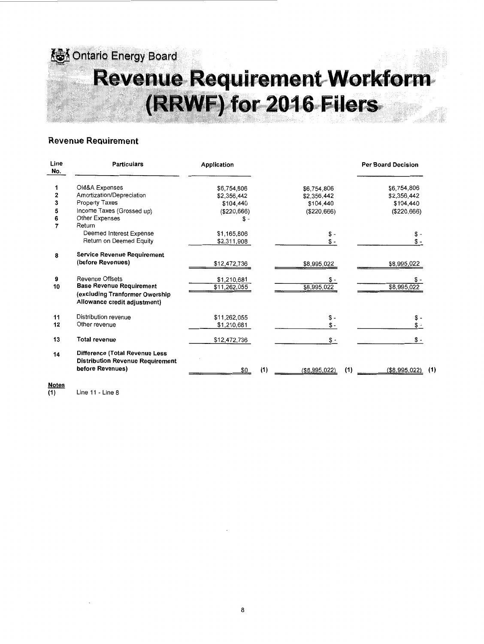## **&** Ontario Energy Board  $R$ eveni ~eq;ulrem.eRtmWoikfoim# (RRWF) for 2016 Filers

## Revenue Reauirement

| Line<br>No. | <b>Particulars</b>                                                                            | Application                 |                    | <b>Per Board Decision</b> |
|-------------|-----------------------------------------------------------------------------------------------|-----------------------------|--------------------|---------------------------|
|             | OM&A Expenses                                                                                 | \$6,754,806                 | \$6,754,806        | \$6,754,806               |
| 2           | Amortization/Depreciation                                                                     | \$2,356,442                 | \$2,356,442        | \$2,356,442               |
| 3           | Property Taxes                                                                                | \$104,440                   | \$104,440          | \$104,440                 |
| 5           | Income Taxes (Grossed up)                                                                     | (\$220,666)                 | (\$220,666)        | (\$220,666)               |
| 6           | Other Expenses                                                                                | \$ -                        |                    |                           |
| 7           | Return                                                                                        |                             |                    |                           |
|             | Deemed Interest Expense                                                                       | \$1,165,806                 | \$ -               |                           |
|             | Return on Deemed Equity                                                                       | \$2,311,908                 |                    | \$ -                      |
| 8           | <b>Service Revenue Requirement</b>                                                            |                             |                    |                           |
|             | (before Revenues)                                                                             | \$12,472,736                | \$8,995,022        | \$8,995,022               |
| 9<br>10     | Revenue Offsets<br><b>Base Revenue Requirement</b>                                            | \$1,210,681<br>\$11,262,055 | \$-<br>\$8,995,022 | \$8,995,022               |
|             | (excluding Tranformer Owership<br>Allowance credit adjustment)                                |                             |                    |                           |
| 11          | Distribution revenue                                                                          | \$11,262,055                | $S -$              |                           |
| 12          | Other revenue                                                                                 | \$1,210,681                 | $S -$              |                           |
| 13          | <b>Total revenue</b>                                                                          | \$12,472,736                | $S -$              | \$ -                      |
| 14          | Difference (Total Revenue Less<br><b>Distribution Revenue Requirement</b><br>before Revenues) |                             | (1)                | (1)<br>(1)                |
|             |                                                                                               | SO.                         | (\$8,995,022)      | (\$8,995,022)             |

## Notes<br>(1)

Line 11 - Line 8